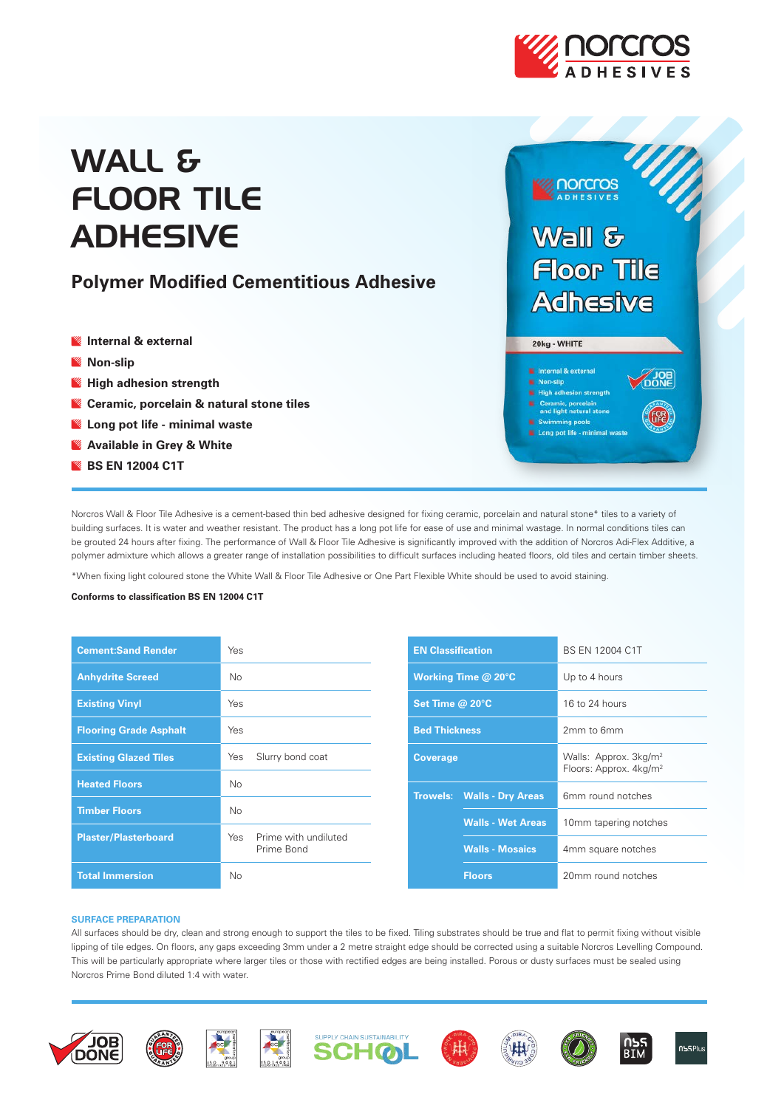

# WALL & FLOOR TILE **ADHESIVE**

# **Polymer Modified Cementitious Adhesive**

- **Internal & external**
- **Non-slip**
- **High adhesion strength**
- **Ceramic, porcelain & natural stone tiles**
- **Long pot life minimal waste**
- **Available in Grey & White**
- **BS EN 12004 C1T**



**Inorcros** 

- Non-slip
- High adhesion strength
- **N** Ceramic, porcelain<br>and light natural ston
- nming pools Long pot life - minimal

Norcros Wall & Floor Tile Adhesive is a cement-based thin bed adhesive designed for fixing ceramic, porcelain and natural stone\* tiles to a variety of building surfaces. It is water and weather resistant. The product has a long pot life for ease of use and minimal wastage. In normal conditions tiles can be grouted 24 hours after fixing. The performance of Wall & Floor Tile Adhesive is significantly improved with the addition of Norcros Adi-Flex Additive, a polymer admixture which allows a greater range of installation possibilities to difficult surfaces including heated floors, old tiles and certain timber sheets.

\*When fixing light coloured stone the White Wall & Floor Tile Adhesive or One Part Flexible White should be used to avoid staining.

# **Conforms to classification BS EN 12004 C1T**

| <b>Cement:Sand Render</b>     | Yes                                       |
|-------------------------------|-------------------------------------------|
| <b>Anhydrite Screed</b>       | No                                        |
| <b>Existing Vinyl</b>         | Yes                                       |
| <b>Flooring Grade Asphalt</b> | Yes                                       |
| <b>Existing Glazed Tiles</b>  | Slurry bond coat<br>Yes                   |
| <b>Heated Floors</b>          | No                                        |
| <b>Timber Floors</b>          | No                                        |
| <b>Plaster/Plasterboard</b>   | Prime with undiluted<br>Yes<br>Prime Bond |
| <b>Total Immersion</b>        | No                                        |

| <b>EN Classification</b> |                                   | BS EN 12004 C1T                                                         |  |
|--------------------------|-----------------------------------|-------------------------------------------------------------------------|--|
| Working Time @ 20°C      |                                   | Up to 4 hours                                                           |  |
| Set Time @ 20°C          |                                   | 16 to 24 hours                                                          |  |
| <b>Bed Thickness</b>     |                                   | 2mm to 6mm                                                              |  |
| <b>Coverage</b>          |                                   | Walls: Approx. 3kg/m <sup>2</sup><br>Floors: Approx. 4kg/m <sup>2</sup> |  |
|                          | <b>Trowels: Walls - Dry Areas</b> | 6mm round notches                                                       |  |
|                          | <b>Walls - Wet Areas</b>          | 10mm tapering notches                                                   |  |
|                          | <b>Walls - Mosaics</b>            | 4mm square notches                                                      |  |
|                          | <b>Floors</b>                     | 20mm round notches                                                      |  |

### **SURFACE PREPARATION**

All surfaces should be dry, clean and strong enough to support the tiles to be fixed. Tiling substrates should be true and flat to permit fixing without visible lipping of tile edges. On floors, any gaps exceeding 3mm under a 2 metre straight edge should be corrected using a suitable Norcros Levelling Compound. This will be particularly appropriate where larger tiles or those with rectified edges are being installed. Porous or dusty surfaces must be sealed using Norcros Prime Bond diluted 1:4 with water.















eus.<br>RTM